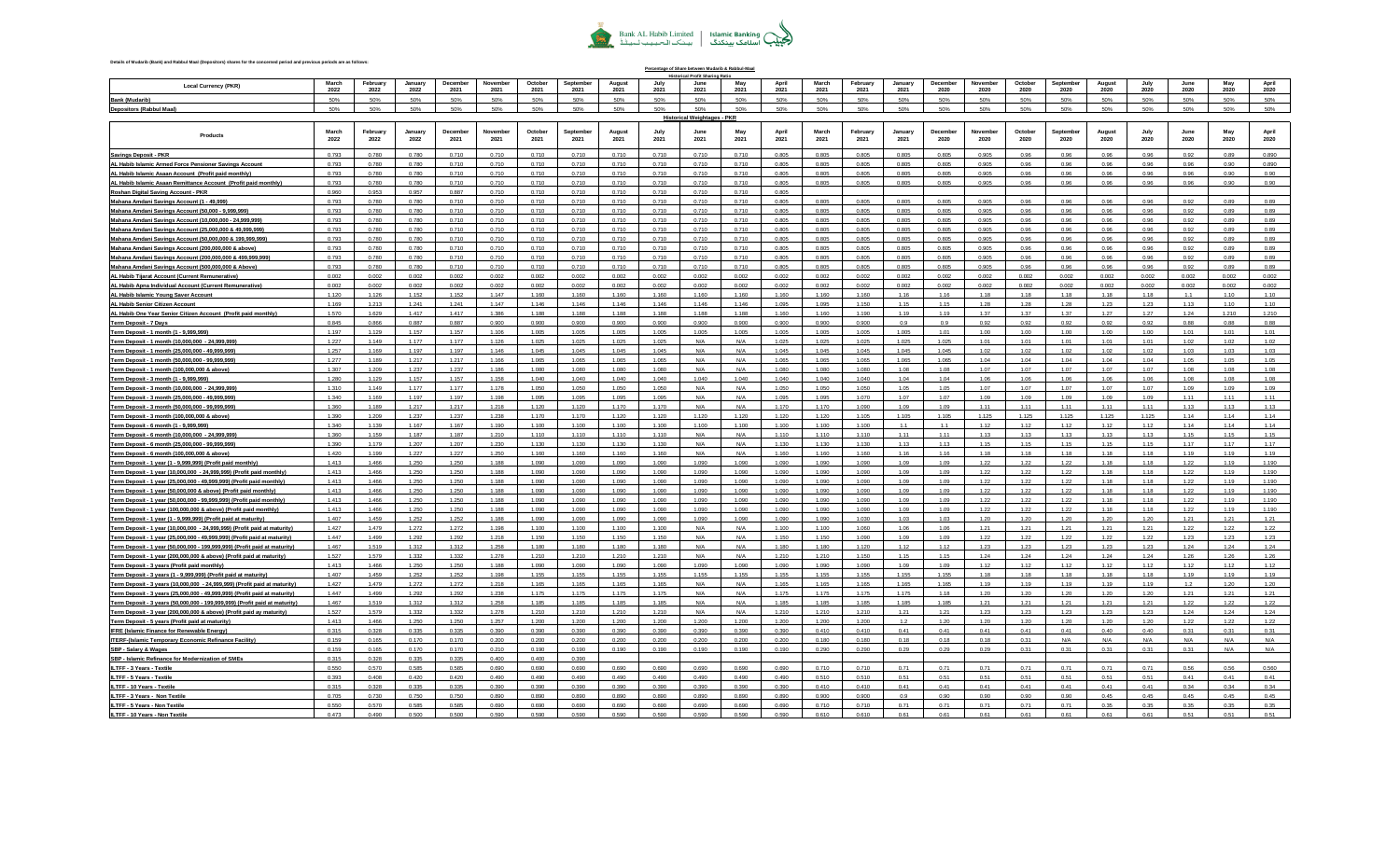## Bank AL Habib Limited | Islamic Banking<br>سیاست السلامک بینکنگ | بینک الحبیب لمیٹنڈ

## **Details of Mudarib (Bank) and Rabbul Maal (Depositors) shares for the concerned period and previous periods are as follows:**

|                                                                                                                                                |                |                  |                 |                  |                  |                 |                  |                |                  | Percentage of Share between Mudarib & Rabbul-Maal<br><b>Historical Profit Sharing Ratio</b> |                |                |                |                  |                 |                  |                  |                 |                   |                |               |               |               |                |
|------------------------------------------------------------------------------------------------------------------------------------------------|----------------|------------------|-----------------|------------------|------------------|-----------------|------------------|----------------|------------------|---------------------------------------------------------------------------------------------|----------------|----------------|----------------|------------------|-----------------|------------------|------------------|-----------------|-------------------|----------------|---------------|---------------|---------------|----------------|
| <b>Local Currency (PKR)</b>                                                                                                                    | March<br>2022  | February<br>2022 | January<br>2022 | December<br>2021 | November<br>2021 | Octobe<br>2021  | Septembe<br>2021 | August<br>2021 | 2021             | $202 -$                                                                                     | 2021           | April<br>2021  | March<br>2021  | February<br>2021 | January<br>2021 | December<br>2020 | November<br>2020 | October<br>2020 | September<br>2020 | Augus<br>2020  | July<br>2020  | June<br>2020  | 2020          | April<br>2020  |
| <b>Bank (Mudarib)</b>                                                                                                                          | 50%            | 50%              | 50%             | 50%              | 50%              | 50%             | 50%              | 50%            | 50%              | 50%                                                                                         | 50%            | 50%            | 50%            | 50%              | 50%             | 50%              | 50%              | 50%             | 50%               | 50%            | 50%           | 50%           | 50%           | 50%            |
| <b>Depositors (Rabbul Maal)</b>                                                                                                                | 50%            | 50%              | 50%             | 50%              | 50%              | 50%             | 50%              | 50%            | 50%              | 50%                                                                                         | 50%            | 50%            | 50%            | 50%              | 50%             | 50%              | 50%              | 50%             | 50%               | 50%            | 50%           | 50%           | 50%           | 50%            |
|                                                                                                                                                |                |                  |                 |                  |                  |                 |                  |                |                  | <b>Historical Weightages - PKR</b>                                                          |                |                |                |                  |                 |                  |                  |                 |                   |                |               |               |               |                |
| <b>Products</b>                                                                                                                                | March<br>2022  | February<br>2022 | January<br>2022 | December<br>2021 | November<br>2021 | October<br>2021 | Sentembe<br>2021 | August<br>2021 | July.<br>2021    | -lune<br>2021                                                                               | May<br>2021    | Anril<br>2021  | March<br>2021  | February<br>2021 | January<br>2021 | December<br>2020 | November<br>2020 | October<br>2020 | Sentember<br>2020 | August<br>2020 | July<br>2020  | June<br>2020  | May<br>2020   | Anril<br>2020  |
| Savings Deposit - PKR                                                                                                                          | 0.793          | 0.780            | 0.780           | 0.710            | 0.710            | 0.710           | 0.710            | 0.710          | 0.710            | 0.710                                                                                       | 0.710          | 0.805          | 0.805          | 0.805            | 0.805           | 0.805            | 0.905            | 0.96            | 0.96              | 0.96           | 0.96          | 0.92          | 0.89          | 0.890          |
| AL Habib Islamic Armed Force Pensioner Savings Account                                                                                         | 0.793          | 0.780            | 0.780           | 0.710            | 0.710            | 0.710           | 0.710            | 0.710          | 0.710            | 0.710                                                                                       | 0.710          | 0.805          | 0.805          | 0.805            | 0.805           | 0.805            | 0.905            | 0.96            | 0.96              | 0.96           | 0.96          | 0.96          | 0.90          | 0.890          |
| AL Habib Islamic Asaan Account (Profit paid monthly)                                                                                           | 0.793          | 0.780            | 0.780           | 0.710            | 0.710            | 0.710           | 0.710            | 0.710          | 0.710            | 0.710                                                                                       | 0.710          | 0.805          | 0.805          | 0.805            | 0.805           | 0.805            | 0.905            | 0.96            | 0.96              | 0.96           | 0.96          | 0.96          | 0.90          | 0.90           |
| AL Habib Islamic Asaan Remittance Account (Profit paid monthly)<br>Roshan Digital Saving Account - PKR                                         | 0.793<br>0.960 | 0.780<br>0.953   | 0.780<br>0.957  | 0.710<br>0.887   | 0.71<br>0.710    | 0.710<br>0.710  | 0.710<br>0.710   | 0.710<br>0.710 | 0.710<br>0.710   | 0.710<br>0.710                                                                              | 0.710<br>0.710 | 0.805<br>0.805 | 0.805          | 0.805            | 0.805           | 0.805            | 0.905            | 0.96            | 0.96              | 0.96           | 0.96          | 0.96          | 0.90          | 0.90           |
| Mahana Amdani Savings Account (1 - 49,999)                                                                                                     | 0.793          | 0.780            | 0.780           | 0.710            | 0.710            | 0.710           | 0.710            | 0.710          | 0.710            | 0.710                                                                                       | 0.710          | 0.805          | 0.805          | 0.805            | 0.805           | 0.805            | 0.905            | 0.96            | 0.96              | 0.96           | 0.96          | 0.92          | 0.89          | 0.89           |
| Mahana Amdani Savings Account (50,000 - 9,999,999)                                                                                             | 0.793          | 0.780            | 0.780           | 0.710            | 0.710            | 0.710           | 0.710            | 0.710          | 0.710            | 0.710                                                                                       | 0.710          | 0.805          | 0.805          | 0.805            | 0.805           | 0.805            | 0.905            | 0.96            | 0.96              | 0.96           | 0.96          | 0.92          | 0.89          | 0.89           |
| Mahana Amdani Savings Account (10,000,000 - 24,999,999)                                                                                        | 0.793          | 0.780            | 0.780           | 0.710            | 0.710            | 0.710           | 0.710            | 0.710          | 0.710            | 0.710                                                                                       | 0.710          | 0.805          | 0.805          | 0.805            | 0.805           | 0.805            | 0.905            | 0.96            | 0.96              | 0.96           | 0.96          | 0.92          | 0.89          | 0.89           |
| Mahana Amdani Savings Account (25,000,000 & 49,999,999)                                                                                        | 0.793          | 0.780            | 0.780           | 0.710            | 0.710            | 0.710           | 0.710            | 0.710          | 0.710            | 0.710                                                                                       | 0.710          | 0.805          | 0.805          | 0.805            | 0.805           | 0.805            | 0.905            | 0.96            | 0.96              | 0.96           | 0.96          | 0.92          | 0.89          | 0.89           |
| Mahana Amdani Savings Account (50,000,000 & 199,999,999)                                                                                       | 0.793          | 0.780            | 0.780           | 0.710            | 0.710            | 0.710           | 0.710            | 0.710          | 0.710            | 0.710                                                                                       | 0.710          | 0.805          | 0.805          | 0.805            | 0.805           | 0.805            | 0.905            | 0.96            | 0.96              | 0.96           | 0.96          | 0.92          | 0.89          | 0.89           |
| Mahana Amdani Savings Account (200,000,000 & above)                                                                                            | 0.793          | 0.780            | 0.780           | 0.710            | 0.710            | 0.710           | 0.710            | 0.710          | 0.710            | 0.710                                                                                       | 0.710          | 0.805          | 0.805          | 0.805            | 0.805           | 0.805            | 0.905            | 0.96            | 0.96              | 0.96           | 0.96          | 0.92          | 0.89          | 0.89           |
| Mahana Amdani Savings Account (200,000,000 & 499,999,999)                                                                                      | 0.793          | 0.780            | 0.780           | 0.710            | 0.710            | 0.710<br>0.710  | 0.710            | 0.710<br>0.710 | 0.710<br>0.710   | 0.710                                                                                       | 0.710          | 0.805<br>0.805 | 0.805<br>0.805 | 0.805<br>0.805   | 0.805<br>0.805  | 0.805<br>0.805   | 0.905<br>0.905   | 0.96            | 0.96<br>0.96      | 0.96<br>0.96   | 0.96<br>0.96  | 0.92<br>0.92  | 0.89<br>0.89  | 0.89           |
| Mahana Amdani Savings Account (500,000,000 & Above)                                                                                            | 0.793<br>0.002 | 0.780<br>0.002   | 0.780<br>0.002  | 0.710<br>0.002   | 0.710<br>0.002   | 0.002           | 0.710<br>0.002   | 0.002          | 0.002            | 0.710<br>0.002                                                                              | 0.710<br>0.002 | 0.002          | 0.002          | 0.002            | 0.002           | 0.002            | 0.002            | 0.96<br>0.002   | 0.002             | 0.002          | 0.002         | 0.002         | 0.002         | 0.89<br>0.002  |
| AL Habib Tijarat Account (Current Remunerative)<br>AL Habib Apna Individual Account (Current Remunerative)                                     | 0.002          | 0.002            | 0.002           | 0.002            | 0.002            | 0.002           | 0.002            | 0.002          | 0.002            | 0.002                                                                                       | 0.002          | 0.002          | 0.002          | 0.002            | 0.002           | 0.002            | 0.002            | 0.002           | 0.002             | 0.002          | 0.002         | 0.002         | 0.002         | 0.002          |
| AL Habib Islamic Young Saver Account                                                                                                           | 1.120          | 1.126            | 1.152           | 1.152            | 1.147            | 1.160           | 1.160            | 1.160          | 1.160            | 1.160                                                                                       | 1.160          | 1.160          | 1.160          | 1.160            | 1.16            | 1.16             | 1.18             | 1.18            | 1.18              | 1.18           | 1.18          | 1.1           | 1.10          | 1.10           |
| AL Habib Senior Citizen Account                                                                                                                | 1.169          | 1.213            | 1.241           | 1.241            | 1.147            | 1.146           | 1.146            | 1.146          | 1.146            | 1.146                                                                                       | 1.146          | 1.095          | 1.095          | 1.150            | 1.15            | 1.15             | 1.28             | 1.28            | 1.28              | 1.23           | 1.23          | 1.13          | 1.10          | 1.10           |
| AL Habib One Year Senior Citizen Account (Profit paid monthly)                                                                                 | 1.570          | 1.629            | 1.417           | 1.417            | 1.386            | 1.188           | 1.188            | 1.188          | 1.188            | 1.188                                                                                       | 1.188          | 1.160          | 1.160          | 1.190            | 1.19            | 1.19             | 1.37             | 1.37            | 1.37              | 1.27           | 1.27          | 1.24          | 1.210         | 1.210          |
| Term Deposit - 7 Days                                                                                                                          | 0.845          | 0.866            | 0.887           | 0.887            | 0.900            | 0.900           | 0.900            | 0.900          | 0.900            | 0.900                                                                                       | 0.900          | 0.900          | 0.900          | 0.900            | 0.9             | 0.9              | 0.92             | 0.92            | 0.92              | 0.92           | 0.92          | 0.88          | 0.88          | 0.88           |
| Term Deposit - 1 month (1 - 9,999,999)                                                                                                         | 1.197          | 1.129            | 1.157           | 1.157            | 1.106            | 1.005           | 1.005            | 1.005          | 1.005            | 1.005                                                                                       | 1.005          | 1.005          | 1.005          | 1.005            | 1.005           | 1.01             | 1.00             | 1.00            | 1.00              | 1.00           | 1.00          | 1.01          | 1.01          | 1.01           |
| Term Deposit - 1 month (10,000,000 - 24,999,999)                                                                                               | 1.227<br>1.257 | 1.149<br>1.169   | 1.177<br>1.197  | 1.177<br>1.197   | 1.126<br>1.146   | 1.025<br>1.045  | 1.025<br>1.045   | 1.025<br>1.045 | 1.025<br>1.045   | N/A<br>N/A                                                                                  | N/A<br>N/A     | 1.025<br>1.045 | 1.025<br>1.045 | 1.025<br>1.045   | 1.025<br>1.045  | 1.025<br>1.045   | 1.01<br>1.02     | 1.01<br>1.02    | 1.01<br>1.02      | 1.01<br>1.02   | 1.01<br>1.02  | 1.02<br>1.03  | 1.02<br>1.03  | 1.02<br>1.03   |
| Term Deposit - 1 month (25,000,000 - 49,999,999)<br>Term Deposit - 1 month (50,000,000 - 99,999,999                                            | 1.277          | 1 189            | 1.217           | 1.217            | 1.166            | 1.065           | 1.065            | 1.065          | 1.065            | N/A                                                                                         | N/A            | 1.065          | 1.065          | 1.065            | 1.065           | 1.065            | 1.04             | 1.04            | 1.04              | 1.04           | 1.04          | 1.05          | 1.05          | 1.05           |
| Term Deposit - 1 month (100,000,000 & above)                                                                                                   | 1.307          | 1.209            | 1.237           | 1.237            | 1.186            | 1.080           | 1.080            | 1.080          | 1.080            | N/A                                                                                         | N/A            | 1.080          | 1.080          | 1.080            | 1.08            | 1.08             | 1.07             | 1.07            | 1.07              | 1.07           | 1.07          | 1.08          | 1.08          | 1.08           |
| Term Deposit - 3 month (1 - 9,999,999)                                                                                                         | 1.280          | 1.129            | 1.157           | 1.157            | 1.158            | 1.040           | 1.040            | 1.040          | 1.040            | 1.040                                                                                       | 1.040          | 1.040          | 1.040          | 1.040            | 1.04            | 1.04             | 1.06             | 1.06            | 1.06              | 1.06           | 1.06          | 1.08          | 1.08          | 1.08           |
| Term Deposit - 3 month (10,000,000 - 24,999,999)                                                                                               | 1.310          | 1.149            | 1.177           | 1.177            | 1.178            | 1.050           | 1.050            | 1.050          | 1.050            | N/A                                                                                         | N/A            | 1.050          | 1.050          | 1.050            | 1.05            | 1.05             | 1.07             | 1.07            | 1.07              | 1.07           | 1.07          | 1.09          | 1.09          | 1.09           |
| Term Deposit - 3 month (25,000,000 - 49,999,999)                                                                                               | 1.340          | 1.169            | 1.197           | 1.197            | 1.198            | 1.095           | 1.095            | 1.095          | 1.095            | $N/\Delta$                                                                                  | N/A            | 1.095          | 1.095          | 1.070            | 107             | 1.07             | 1.09             | 1.09            | 1.09              | 109            | 1.09          | 1 1 1         | 111           | 1.11           |
| Term Deposit - 3 month (50,000,000 - 99,999,999)                                                                                               | 1,360          | 1.189            | 1.217           | 1.217            | 1.218            | 1.120           | 1.120            | 1.170          | 1.170            | N/A                                                                                         | N/A            | 1.170          | 1.170          | 1.090            | 1.09            | 1.09             | 1.11             | 1.11            | 1.11              | 1.11           | 1.11          | 1.13          | 1.13          | 1.13           |
| Term Deposit - 3 month (100,000,000 & above)                                                                                                   | 1.390          | 1.209            | 1.237           | 1.237<br>1.167   | 1.238            | 1.170<br>1.100  | 1.170            | 1.120          | 1.120            | 1.120                                                                                       | 1.120          | 1.120          | 1.120<br>1.100 | 1.105            | 1.105<br>1.1    | 1.105<br>1.1     | 1.125            | 1.125           | 1.125             | 1.125<br>1.12  | 1.125         | 1.14<br>1.14  | 1.14<br>1.14  | 1.14<br>1.14   |
| Term Deposit - 6 month (1 - 9,999,999)<br>Term Deposit - 6 month (10,000,000 - 24,999,999)                                                     | 1.340<br>1.360 | 1.139<br>1.159   | 1.167<br>1.187  | 1.187            | 1.190<br>1.210   | 1.110           | 1.100<br>1.110   | 1.100<br>1.110 | 1.100<br>1 1 1 0 | 1.100<br>$N/\Delta$                                                                         | 1.100<br>N/A   | 1.100<br>1.110 | 1.110          | 1.100<br>1.110   | 1 1 1           | 1 1 1 1          | 1.12<br>1.13     | 1.12<br>1.13    | 1.12<br>1.13      | 1.13           | 1.12<br>1.13  | 1.15          | 115           | 1.15           |
| Term Deposit - 6 month (25,000,000 - 99,999,999)                                                                                               | 1.390          | 1.179            | 1.207           | 1.207            | 1.230            | 1.130           | 1.130            | 1.130          | 1.130            | N/A                                                                                         | N/A            | 1.130          | 1.130          | 1.130            | 1.13            | 1.13             | 1.15             | 1.15            | 1.15              | 1.15           | 1.15          | 1.17          | 1.17          | 1.17           |
| Term Deposit - 6 month (100,000,000 & above)                                                                                                   | 1.420          | 1.199            | 1.227           | 1.227            | 1.250            | 1.160           | 1.160            | 1.160          | 1.160            | N/A                                                                                         | N/A            | 1.160          | 1.160          | 1.160            | 1.16            | 1.16             | 1.18             | 1.18            | 1.18              | 1.18           | 1.18          | 1.19          | 1.19          | 1.19           |
| Term Deposit - 1 year (1 - 9,999,999) (Profit paid monthly)                                                                                    | 1.413          | 1.466            | 1.250           | 1.250            | 1.188            | 1.090           | 1.090            | 1.090          | 1.090            | 1.090                                                                                       | 1.090          | 1.090          | 1.090          | 1.090            | 1.09            | 1.09             | 1.22             | 1.22            | 1.22              | 1.18           | 1.18          | 1.22          | 1.19          | 1.190          |
| Term Deposit - 1 year (10,000,000 - 24,999,999) (Profit paid monthly)                                                                          | 1.413          | 1.466            | 1.250           | 1.250            | 1.188            | 1.090           | 1.090            | 1.090          | 1.090            | 1.090                                                                                       | 1.090          | 1.090          | 1.090          | 1.090            | 1.09            | 1.09             | 1.22             | 1.22            | 1.22              | 1.18           | 1.18          | 1.22          | 1.19          | 1.190          |
| Term Deposit - 1 year (25,000,000 - 49,999,999) (Profit paid monthly)                                                                          | 1.413          | 1.466            | 1.250           | 1.250            | 1.188            | 1.090           | 1.090            | 1.090          | 1.090            | 1.090                                                                                       | 1.090          | 1.090          | 1.090          | 1.090            | 1.09            | 1.09             | 1.22             | 1.22            | 1.22              | 1.18           | 1.18          | 1.22          | 1.19          | 1.190          |
| Term Deposit - 1 year (50,000,000 & above) (Profit paid monthly                                                                                | 1.413          | 1.466<br>1.466   | 1.250           | 1.250            | 1.188<br>1.188   | 1.090<br>1.090  | 1.090<br>1.090   | 1.090<br>1.090 | 1.090<br>1.090   | 1.090<br>1.090                                                                              | 1.090<br>1.090 | 1.090<br>1.090 | 1.090<br>1.090 | 1.090            | 1.09<br>1.09    | 1.09<br>1.09     | 1.22             | 1.22            | 1.22              | 1.18<br>1.18   | 1.18<br>1 1 8 | 1.22          | 1.19<br>1 1 9 | 1.190<br>1.190 |
| Term Deposit - 1 year (50,000,000 - 99,999,999) (Profit paid monthly)<br>Term Deposit - 1 year (100,000,000 & above) (Profit paid monthly)     | 1.413<br>1.413 | 1.466            | 1.250<br>1.250  | 1.250<br>1.250   | 1.188            | 1.090           | 1.090            | 1.090          | 1.090            | 1.090                                                                                       | 1.090          | 1.090          | 1.090          | 1.090<br>1.090   | 1.09            | 1.09             | 1.22<br>1.22     | 1.22<br>1.22    | 1.22<br>1.22      | 1.18           | 1.18          | 1.22<br>1.22  | 1.19          | 1.190          |
| Term Deposit - 1 year (1 - 9,999,999) (Profit paid at maturity)                                                                                | 1.407          | 1.459            | 1.252           | 1.252            | 1.188            | 1.090           | 1.090            | 1.090          | 1.090            | 1.090                                                                                       | 1.090          | 1.090          | 1.090          | 1.030            | 1.03            | 1.03             | 1.20             | 1.20            | 1.20              | 1.20           | 1.20          | 1.21          | 1.21          | 1.21           |
| Term Deposit - 1 year (10,000,000 - 24,999,999) (Profit paid at maturity)                                                                      | 1.427          | 1,479            | 1.272           | 1.272            | 1.198            | 1.100           | 1.100            | 1.100          | 1.100            | N/A                                                                                         | N/A            | 1.100          | 1.100          | 1.060            | 1.06            | 1.06             | 1.21             | 1.21            | 1.21              | 1.21           | 1.21          | 1.22          | 1.22          | 1.22           |
| Term Deposit - 1 year (25,000,000 - 49,999,999) (Profit paid at maturity)                                                                      | 1.447          | 1.499            | 1.292           | 1.292            | 1.218            | 1 150           | 1.150            | 1 150          | 1 150            | $N/\Delta$                                                                                  | N/A            | 1.150          | 1.150          | 1.090            | 109             | 1.09             | 1.22             | 1.22            | 1.22              | 1 22           | 1.22          | 123           | 1.23          | 1.23           |
| Term Deposit - 1 year (50,000,000 - 199,999,999) (Profit paid at maturity)                                                                     | 1.467          | 1.519            | 1.312           | 1.312            | 1.258            | 1.180           | 1.180            | 1.180          | 1.180            | N/A                                                                                         | N/A            | 1.180          | 1.180          | 1.120            | 1.12            | 1.12             | 1.23             | 1.23            | 1.23              | 1.23           | 1.23          | 1.24          | 1.24          | 1.24           |
| Term Deposit - 1 year (200,000,000 & above) (Profit paid at maturity)                                                                          | 1.527          | 1.579            | 1.332           | 1.332            | 1.278            | 1.210           | 1.210            | 1.210          | 1.210            | N/A                                                                                         | N/A            | 1.210          | 1.210          | 1.150            | 1.15            | 1.15             | 1.24             | 1.24            | 1.24              | 1.24           | 1.24          | 1.26          | 1.26          | 1.26           |
| Term Deposit - 3 years (Profit paid monthly)                                                                                                   | 1.413<br>1.407 | 1.466<br>1.459   | 1.250<br>1.252  | 1.250<br>1.252   | 1.188<br>1 1 9 8 | 1.090<br>1.155  | 1.090<br>1.155   | 1.090<br>1.155 | 1.090<br>1.155   | 1.090<br>1.155                                                                              | 1.090<br>1.155 | 1,090<br>1.155 | 1.090<br>1.155 | 1.090<br>1.155   | 1.09<br>1.155   | 1.09<br>1 155    | 1.12<br>1 18     | 1.12<br>1.18    | 1.12<br>1.18      | 1.12<br>1 1 8  | 1.12<br>1.18  | 1.12<br>1 1 9 | 1.12<br>1 1 9 | 1.12<br>1.19   |
| Term Deposit - 3 years (1 - 9,999,999) (Profit paid at maturity)<br>Term Deposit - 3 years (10,000,000 - 24,999,999) (Profit paid at maturity) | 1.427          | 1.479            | 1.272           | 1.272            | 1.218            | 1.165           | 1.165            | 1.165          | 1.165            | N/A                                                                                         | N/A            | 1.165          | 1.165          | 1.165            | 1.165           | 1.165            | 1.19             | 1.19            | 1.19              | 1.19           | 1.19          | 1.2           | 1.20          | 1.20           |
| Term Deposit - 3 years (25,000,000 - 49,999,999) (Profit paid at maturity)                                                                     | 1.447          | 1.499            | 1.292           | 1.292            | 1.238            | 1.175           | 1.175            | 1.175          | 1.175            | N/A                                                                                         | N/A            | 1.175          | 1.175          | 1.175            | 1.175           | 1.18             | 1.20             | 1.20            | 1.20              | 1.20           | 1.20          | 1.21          | 1.21          | 1.21           |
| Term Deposit - 3 years (50,000,000 - 199,999,999) (Profit paid at maturity)                                                                    | 1.467          | 1.519            | 1.312           | 1.312            | 1.258            | 1.185           | 1.185            | 1.185          | 1.185            | N/A                                                                                         | N/A            | 1.185          | 1.185          | 1.185            | 1.185           | 1.185            | 1.21             | 1.21            | 1.21              | 1.21           | 1.21          | 1.22          | 1.22          | 1.22           |
| Term Deposit - 3 year (200,000,000 & above) (Profit paid ay maturity)                                                                          | 1.527          | 1.579            | 1.332           | 1.332            | 1.278            | 1.210           | 1.210            | 1.210          | 1.210            | N/A                                                                                         | N/A            | 1.210          | 1.210          | 1.210            | 1.21            | 1.21             | 1.23             | 1.23            | 1.23              | 1.23           | 1.23          | 1.24          | 1.24          | 1.24           |
| Term Deposit - 5 years (Profit paid at maturity)                                                                                               | 1.413          | 1.466            | 1.250           | 1.250            | 1.257            | 1.200           | 1.200            | 1.200          | 1.200            | 1.200                                                                                       | 1.200          | 1.200          | 1.200          | 1.200            | 1.2             | 1.20             | 1.20             | 1.20            | 1.20              | 1.20           | 1.20          | 1.22          | 1.22          | 1.22           |
| IFRE (Islamic Finance for Renewable Energy)                                                                                                    | 0.315          | 0.328            | 0.335           | 0.335            | 0.390            | 0.390           | 0.390            | 0.390          | 0.390            | 0.390                                                                                       | 0.390          | 0.390          | 0.410          | 0.410            | 0.41            | 0.41             | 0.41             | 0.41            | 0.41              | 0.40           | 0.40          | 0.31          | 0.31          | 0.31           |
| ITERF-(Islamic Temporary Economic Refinance Facility)                                                                                          | 0.159          | 0.165            | 0.170           | 0.170            | 0.200            | 0.200           | 0.200            | 0.200          | 0.200            | 0.200                                                                                       | 0.200          | 0.200          | 0.180          | 0.180            | 0.18            | 0.18             | 0.18             | 0.31            | N/A               | N/A            | N/A           | N/A           | $N/\Delta$    | N/A            |
| SBP - Salary & Wages                                                                                                                           | 0.159<br>0.315 | 0.165<br>0.328   | 0.170<br>0.335  | 0.170<br>0.335   | 0.210<br>0.400   | 0.190<br>0.400  | 0.190<br>0.390   | 0.190          | 0.190            | 0.190                                                                                       | 0.190          | 0.190          | 0.290          | 0.290            | 0.29            | 0.29             | 0.29             | 0.31            | 0.31              | 0.31           | 0.31          | 0.31          | N/A           | N/A            |
| SBP - Islamic Refinance for Modernization of SMEs<br>ILTFF - 3 Years - Textile                                                                 | 0.550          | 0.570            | 0.585           | 0.585            | 0.690            | 0.690           | 0.690            | 0.690          | 0.690            | 0.690                                                                                       | 0.690          | 0.690          | 0.710          | 0.710            | 0.71            | 0.71             | 0.71             | 0.71            | 0.71              | 0.71           | 0.71          | 0.56          | 0.56          | 0.560          |
| ILTFF - 5 Years - Textile                                                                                                                      | 0.393          | 0.408            | 0.420           | 0.420            | 0.490            | 0.490           | 0.490            | 0.490          | 0.490            | 0.490                                                                                       | 0.490          | 0.490          | 0.510          | 0.510            | 0.51            | 0.51             | 0.51             | 0.51            | 0.51              | Q 51           | 0.51          | 0.41          | 0.41          | 0.41           |
| ILTFF - 10 Years - Textile                                                                                                                     | 0.315          | 0.328            | 0.335           | 0.335            | 0.390            | 0.390           | 0.390            | 0.390          | 0.390            | 0.390                                                                                       | 0.390          | 0.390          | 0.410          | 0.410            | 0.41            | 0.41             | 0.41             | 0.41            | 0.41              | 0.41           | 0.41          | 0.34          | 0.34          | 0.34           |
| ILTFF - 3 Years - Non Textile                                                                                                                  | 0.705          | 0.730            | 0.750           | 0.750            | 0.890            | 0.890           | 0.890            | 0.890          | 0.890            | 0.890                                                                                       | 0.890          | 0.890          | 0.900          | 0.900            | 0.9             | 0.90             | 0.90             | 0.90            | 0.90              | 0.45           | 0.45          | 0.45          | 0.45          | 0.45           |
| ILTFF - 5 Years - Non Textile                                                                                                                  | 0.550          | 0.570            | 0.585           | 0.585            | 0.690            | 0.690           | 0.690            | 0.690          | 0.690            | 0.690                                                                                       | 0.690          | 0.690          | 0.710          | 0.710            | 0.71            | 0.71             | 0.71             | 0.71            | 0.71              | 0.35           | 0.35          | 0.35          | 0.35          | 0.35           |
| ILTFF - 10 Years - Non Textile                                                                                                                 | 0.473          | 0.490            | 0.500           | 0.500            | 0.590            | 0.590           | 0.590            | 0.590          | 0.590            | 0.590                                                                                       | 0.590          | 0.590          | 0.610          | 0.610            | 0.61            | 0.61             | 0.61             | 0.61            | 0.61              | 0.61           | 0.61          | 0.51          | 0.51          | 0.51           |